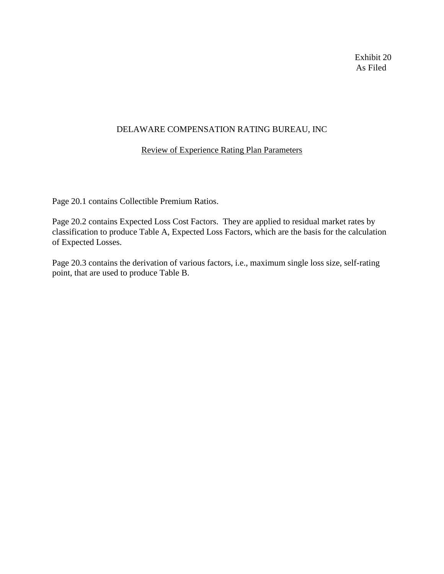Exhibit 20 As Filed

## DELAWARE COMPENSATION RATING BUREAU, INC

# Review of Experience Rating Plan Parameters

Page 20.1 contains Collectible Premium Ratios.

Page 20.2 contains Expected Loss Cost Factors. They are applied to residual market rates by classification to produce Table A, Expected Loss Factors, which are the basis for the calculation of Expected Losses.

Page 20.3 contains the derivation of various factors, i.e., maximum single loss size, self-rating point, that are used to produce Table B.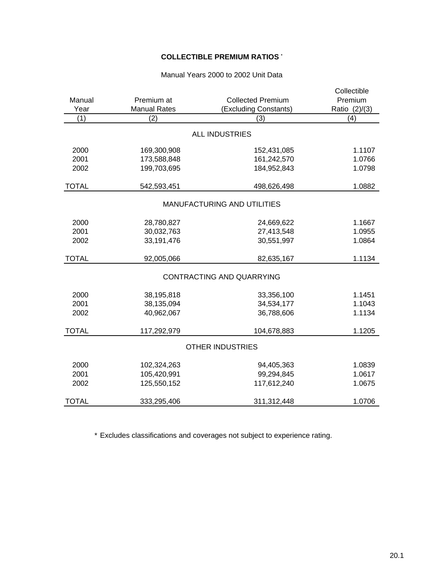### **COLLECTIBLE PREMIUM RATIOS \***

#### Manual Years 2000 to 2002 Unit Data

|              |                     |                                    | Collectible   |  |  |
|--------------|---------------------|------------------------------------|---------------|--|--|
| Manual       | Premium at          | <b>Collected Premium</b>           | Premium       |  |  |
| Year         | <b>Manual Rates</b> | (Excluding Constants)              | Ratio (2)/(3) |  |  |
| (1)          | (2)                 | (3)                                | (4)           |  |  |
|              |                     | <b>ALL INDUSTRIES</b>              |               |  |  |
|              |                     |                                    |               |  |  |
| 2000         | 169,300,908         | 152,431,085                        | 1.1107        |  |  |
| 2001         | 173,588,848         | 161,242,570                        | 1.0766        |  |  |
| 2002         | 199,703,695         | 184,952,843                        | 1.0798        |  |  |
| <b>TOTAL</b> | 542,593,451         | 498,626,498                        | 1.0882        |  |  |
|              |                     |                                    |               |  |  |
|              |                     | <b>MANUFACTURING AND UTILITIES</b> |               |  |  |
| 2000         | 28,780,827          | 24,669,622                         | 1.1667        |  |  |
| 2001         | 30,032,763          | 27,413,548                         | 1.0955        |  |  |
| 2002         | 33,191,476          | 30,551,997                         | 1.0864        |  |  |
| <b>TOTAL</b> | 92,005,066          | 82,635,167                         | 1.1134        |  |  |
|              |                     |                                    |               |  |  |
|              |                     | CONTRACTING AND QUARRYING          |               |  |  |
| 2000         | 38,195,818          | 33,356,100                         | 1.1451        |  |  |
| 2001         | 38,135,094          | 34,534,177                         | 1.1043        |  |  |
| 2002         | 40,962,067          | 36,788,606                         | 1.1134        |  |  |
| <b>TOTAL</b> |                     |                                    | 1.1205        |  |  |
|              | 117,292,979         | 104,678,883                        |               |  |  |
|              |                     | <b>OTHER INDUSTRIES</b>            |               |  |  |
| 2000         | 102,324,263         | 94,405,363                         | 1.0839        |  |  |
| 2001         | 105,420,991         | 99,294,845                         | 1.0617        |  |  |
| 2002         | 125,550,152         | 117,612,240                        | 1.0675        |  |  |
| <b>TOTAL</b> | 333,295,406         | 311,312,448                        | 1.0706        |  |  |

\* Excludes classifications and coverages not subject to experience rating.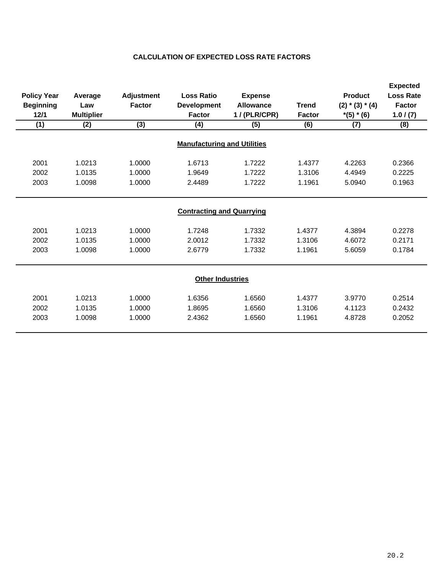# **CALCULATION OF EXPECTED LOSS RATE FACTORS**

|                                    |                   |                   |                    |                  |               |                       | <b>Expected</b>  |  |  |
|------------------------------------|-------------------|-------------------|--------------------|------------------|---------------|-----------------------|------------------|--|--|
| <b>Policy Year</b>                 | Average           | <b>Adjustment</b> | <b>Loss Ratio</b>  | <b>Expense</b>   |               | <b>Product</b>        | <b>Loss Rate</b> |  |  |
| <b>Beginning</b>                   | Law               | <b>Factor</b>     | <b>Development</b> | <b>Allowance</b> | <b>Trend</b>  | $(2)$ * $(3)$ * $(4)$ | <b>Factor</b>    |  |  |
| 12/1                               | <b>Multiplier</b> |                   | <b>Factor</b>      | 1/(PLR/CPR)      | <b>Factor</b> | $*(5)*(6)$            | 1.0 / (7)        |  |  |
| (1)                                | (2)               | (3)               | (4)                | (5)              | (6)           | (7)                   | (8)              |  |  |
|                                    |                   |                   |                    |                  |               |                       |                  |  |  |
| <b>Manufacturing and Utilities</b> |                   |                   |                    |                  |               |                       |                  |  |  |
| 2001                               | 1.0213            | 1.0000            | 1.6713             | 1.7222           | 1.4377        | 4.2263                | 0.2366           |  |  |
| 2002                               | 1.0135            | 1.0000            | 1.9649             | 1.7222           | 1.3106        | 4.4949                | 0.2225           |  |  |
|                                    |                   |                   |                    |                  |               |                       |                  |  |  |
| 2003                               | 1.0098            | 1.0000            | 2.4489             | 1.7222           | 1.1961        | 5.0940                | 0.1963           |  |  |
|                                    |                   |                   |                    |                  |               |                       |                  |  |  |
| <b>Contracting and Quarrying</b>   |                   |                   |                    |                  |               |                       |                  |  |  |
| 2001                               | 1.0213            | 1.0000            | 1.7248             | 1.7332           | 1.4377        | 4.3894                | 0.2278           |  |  |
| 2002                               | 1.0135            | 1.0000            | 2.0012             | 1.7332           | 1.3106        | 4.6072                | 0.2171           |  |  |
| 2003                               | 1.0098            | 1.0000            | 2.6779             | 1.7332           | 1.1961        | 5.6059                | 0.1784           |  |  |
|                                    |                   |                   |                    |                  |               |                       |                  |  |  |
|                                    |                   |                   |                    |                  |               |                       |                  |  |  |
| <b>Other Industries</b>            |                   |                   |                    |                  |               |                       |                  |  |  |
| 2001                               | 1.0213            | 1.0000            | 1.6356             | 1.6560           | 1.4377        | 3.9770                | 0.2514           |  |  |
| 2002                               | 1.0135            | 1.0000            | 1.8695             | 1.6560           | 1.3106        | 4.1123                | 0.2432           |  |  |
| 2003                               | 1.0098            | 1.0000            | 2.4362             | 1.6560           | 1.1961        | 4.8728                | 0.2052           |  |  |
|                                    |                   |                   |                    |                  |               |                       |                  |  |  |